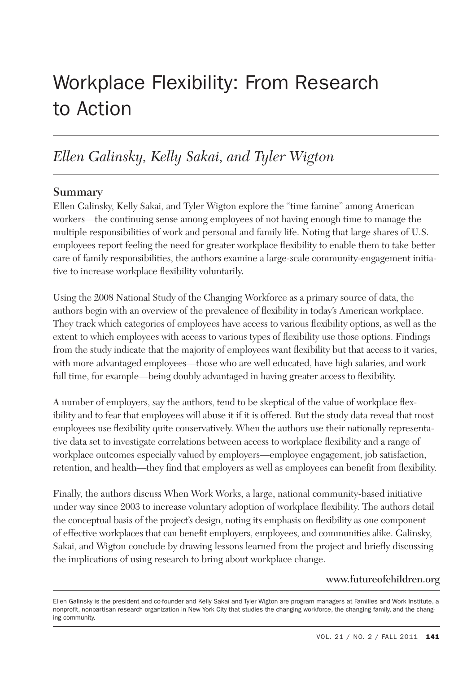# Workplace Flexibility: From Research to Action

## *Ellen Galinsky, Kelly Sakai, and Tyler Wigton*

#### **Summary**

Ellen Galinsky, Kelly Sakai, and Tyler Wigton explore the "time famine" among American workers—the continuing sense among employees of not having enough time to manage the multiple responsibilities of work and personal and family life. Noting that large shares of U.S. employees report feeling the need for greater workplace flexibility to enable them to take better care of family responsibilities, the authors examine a large-scale community-engagement initiative to increase workplace flexibility voluntarily.

Using the 2008 National Study of the Changing Workforce as a primary source of data, the authors begin with an overview of the prevalence of flexibility in today's American workplace. They track which categories of employees have access to various flexibility options, as well as the extent to which employees with access to various types of flexibility use those options. Findings from the study indicate that the majority of employees want flexibility but that access to it varies, with more advantaged employees—those who are well educated, have high salaries, and work full time, for example—being doubly advantaged in having greater access to flexibility.

A number of employers, say the authors, tend to be skeptical of the value of workplace flexibility and to fear that employees will abuse it if it is offered. But the study data reveal that most employees use flexibility quite conservatively. When the authors use their nationally representative data set to investigate correlations between access to workplace flexibility and a range of workplace outcomes especially valued by employers—employee engagement, job satisfaction, retention, and health—they find that employers as well as employees can benefit from flexibility.

Finally, the authors discuss When Work Works, a large, national community-based initiative under way since 2003 to increase voluntary adoption of workplace flexibility. The authors detail the conceptual basis of the project's design, noting its emphasis on flexibility as one component of effective workplaces that can benefit employers, employees, and communities alike. Galinsky, Sakai, and Wigton conclude by drawing lessons learned from the project and briefly discussing the implications of using research to bring about workplace change.

#### **www.futureofchildren.org**

Ellen Galinsky is the president and co-founder and Kelly Sakai and Tyler Wigton are program managers at Families and Work Institute, a nonprofit, nonpartisan research organization in New York City that studies the changing workforce, the changing family, and the changing community.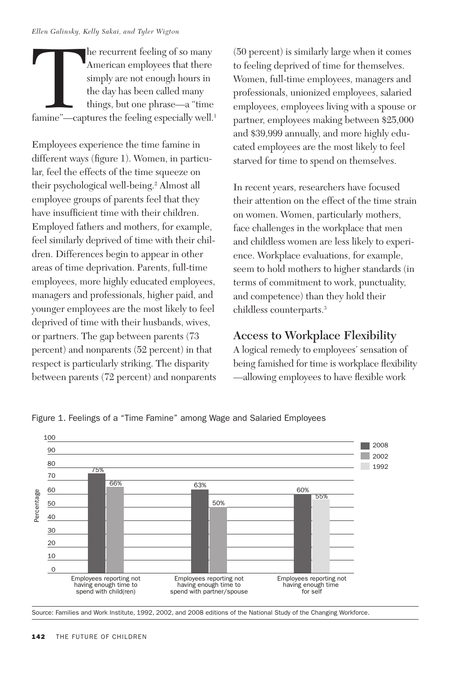The recurrent feeling of so many<br>
American employees that there<br>
simply are not enough hours in<br>
the day has been called many<br>
things, but one phrase—a "time<br>
famine"—captures the feeling especially well.<sup>1</sup> American employees that there simply are not enough hours in the day has been called many things, but one phrase—a "time

Employees experience the time famine in different ways (figure 1). Women, in particular, feel the effects of the time squeeze on their psychological well-being.<sup>2</sup> Almost all employee groups of parents feel that they have insufficient time with their children. Employed fathers and mothers, for example, feel similarly deprived of time with their children. Differences begin to appear in other areas of time deprivation. Parents, full-time employees, more highly educated employees, managers and professionals, higher paid, and younger employees are the most likely to feel deprived of time with their husbands, wives, or partners. The gap between parents (73 percent) and nonparents (52 percent) in that respect is particularly striking. The disparity between parents (72 percent) and nonparents (50 percent) is similarly large when it comes to feeling deprived of time for themselves. Women, full-time employees, managers and professionals, unionized employees, salaried employees, employees living with a spouse or partner, employees making between \$25,000 and \$39,999 annually, and more highly educated employees are the most likely to feel starved for time to spend on themselves.

In recent years, researchers have focused their attention on the effect of the time strain on women. Women, particularly mothers, face challenges in the workplace that men and childless women are less likely to experience. Workplace evaluations, for example, seem to hold mothers to higher standards (in terms of commitment to work, punctuality, and competence) than they hold their childless counterparts.3

## **Access to Workplace Flexibility**

A logical remedy to employees' sensation of being famished for time is workplace flexibility —allowing employees to have flexible work



Figure 1. Feelings of a "Time Famine" among Wage and Salaried Employees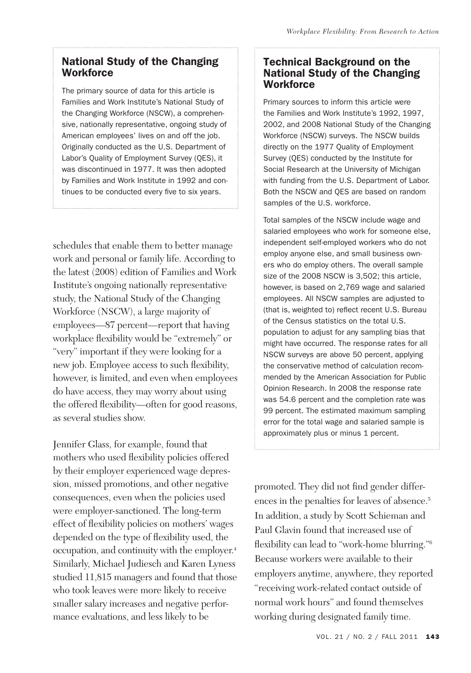#### National Study of the Changing **Workforce**

The primary source of data for this article is Families and Work Institute's National Study of the Changing Workforce (NSCW), a comprehensive, nationally representative, ongoing study of American employees' lives on and off the job. Originally conducted as the U.S. Department of Labor's Quality of Employment Survey (QES), it was discontinued in 1977. It was then adopted by Families and Work Institute in 1992 and continues to be conducted every five to six years.

schedules that enable them to better manage work and personal or family life. According to the latest (2008) edition of Families and Work Institute's ongoing nationally representative study, the National Study of the Changing Workforce (NSCW), a large majority of employees—87 percent—report that having workplace flexibility would be "extremely" or "very" important if they were looking for a new job. Employee access to such flexibility, however, is limited, and even when employees do have access, they may worry about using the offered flexibility—often for good reasons, as several studies show.

Jennifer Glass, for example, found that mothers who used flexibility policies offered by their employer experienced wage depression, missed promotions, and other negative consequences, even when the policies used were employer-sanctioned. The long-term effect of flexibility policies on mothers' wages depended on the type of flexibility used, the occupation, and continuity with the employer.4 Similarly, Michael Judiesch and Karen Lyness studied 11,815 managers and found that those who took leaves were more likely to receive smaller salary increases and negative performance evaluations, and less likely to be

#### Technical Background on the National Study of the Changing **Workforce**

Primary sources to inform this article were the Families and Work Institute's 1992, 1997, 2002, and 2008 National Study of the Changing Workforce (NSCW) surveys. The NSCW builds directly on the 1977 Quality of Employment Survey (QES) conducted by the Institute for Social Research at the University of Michigan with funding from the U.S. Department of Labor. Both the NSCW and QES are based on random samples of the U.S. workforce.

Total samples of the NSCW include wage and salaried employees who work for someone else, independent self-employed workers who do not employ anyone else, and small business owners who do employ others. The overall sample size of the 2008 NSCW is 3,502; this article, however, is based on 2,769 wage and salaried employees. All NSCW samples are adjusted to (that is, weighted to) reflect recent U.S. Bureau of the Census statistics on the total U.S. population to adjust for any sampling bias that might have occurred. The response rates for all NSCW surveys are above 50 percent, applying the conservative method of calculation recommended by the American Association for Public Opinion Research. In 2008 the response rate was 54.6 percent and the completion rate was 99 percent. The estimated maximum sampling error for the total wage and salaried sample is approximately plus or minus 1 percent.

promoted. They did not find gender differences in the penalties for leaves of absence.<sup>5</sup> In addition, a study by Scott Schieman and Paul Glavin found that increased use of flexibility can lead to "work-home blurring."6 Because workers were available to their employers anytime, anywhere, they reported "receiving work-related contact outside of normal work hours" and found themselves working during designated family time.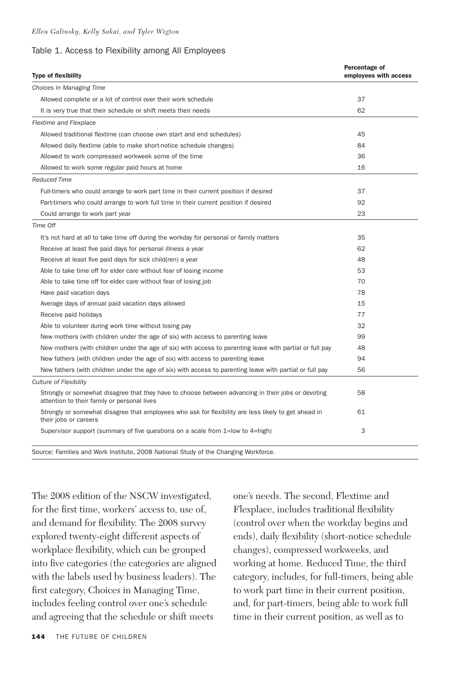#### Table 1. Access to Flexibility among All Employees

| <b>Type of flexibility</b>                                                                                                                        | Percentage of<br>employees with access |
|---------------------------------------------------------------------------------------------------------------------------------------------------|----------------------------------------|
| Choices in Managing Time                                                                                                                          |                                        |
| Allowed complete or a lot of control over their work schedule                                                                                     | 37                                     |
| It is very true that their schedule or shift meets their needs                                                                                    | 62                                     |
| <b>Flextime and Flexplace</b>                                                                                                                     |                                        |
| Allowed traditional flextime (can choose own start and end schedules)                                                                             | 45                                     |
| Allowed daily flextime (able to make short-notice schedule changes)                                                                               | 84                                     |
| Allowed to work compressed workweek some of the time                                                                                              | 36                                     |
| Allowed to work some regular paid hours at home                                                                                                   | 16                                     |
| <b>Reduced Time</b>                                                                                                                               |                                        |
| Full-timers who could arrange to work part time in their current position if desired                                                              | 37                                     |
| Part-timers who could arrange to work full time in their current position if desired                                                              | 92                                     |
| Could arrange to work part year                                                                                                                   | 23                                     |
| Time Off                                                                                                                                          |                                        |
| It's not hard at all to take time off during the workday for personal or family matters                                                           | 35                                     |
| Receive at least five paid days for personal illness a year                                                                                       | 62                                     |
| Receive at least five paid days for sick child(ren) a year                                                                                        | 48                                     |
| Able to take time off for elder care without fear of losing income                                                                                | 53                                     |
| Able to take time off for elder care without fear of losing job                                                                                   | 70                                     |
| Have paid vacation days                                                                                                                           | 78                                     |
| Average days of annual paid vacation days allowed                                                                                                 | 15                                     |
| Receive paid holidays                                                                                                                             | 77                                     |
| Able to volunteer during work time without losing pay                                                                                             | 32                                     |
| New mothers (with children under the age of six) with access to parenting leave                                                                   | 99                                     |
| New mothers (with children under the age of six) with access to parenting leave with partial or full pay                                          | 48                                     |
| New fathers (with children under the age of six) with access to parenting leave                                                                   | 94                                     |
| New fathers (with children under the age of six) with access to parenting leave with partial or full pay                                          | 56                                     |
| <b>Culture of Flexibility</b>                                                                                                                     |                                        |
| Strongly or somewhat disagree that they have to choose between advancing in their jobs or devoting<br>attention to their family or personal lives | 58                                     |
| Strongly or somewhat disagree that employees who ask for flexibility are less likely to get ahead in<br>their jobs or careers                     | 61                                     |
| Supervisor support (summary of five questions on a scale from $1=$ low to $4=$ high)                                                              | 3                                      |

The 2008 edition of the NSCW investigated, for the first time, workers' access to, use of, and demand for flexibility. The 2008 survey explored twenty-eight different aspects of workplace flexibility, which can be grouped into five categories (the categories are aligned with the labels used by business leaders). The first category, Choices in Managing Time, includes feeling control over one's schedule and agreeing that the schedule or shift meets

one's needs. The second, Flextime and Flexplace, includes traditional flexibility (control over when the workday begins and ends), daily flexibility (short-notice schedule changes), compressed workweeks, and working at home. Reduced Time, the third category, includes, for full-timers, being able to work part time in their current position, and, for part-timers, being able to work full time in their current position, as well as to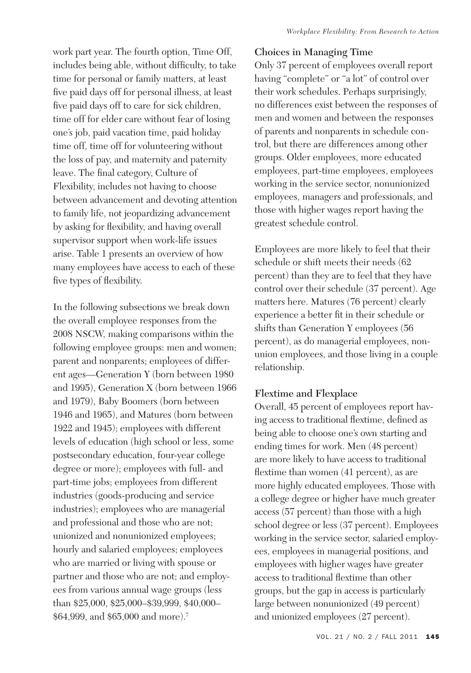work part year. The fourth option, Time Off, includes being able, without difficulty, to take time for personal or family matters, at least five paid days off for personal illness, at least five paid days off to care for sick children, time off for elder care without fear of losing one's job, paid vacation time, paid holiday time off, time off for volunteering without the loss of pay, and maternity and paternity leave. The final category, Culture of Flexibility, includes not having to choose between advancement and devoting attention to family life, not jeopardizing advancement by asking for flexibility, and having overall supervisor support when work-life issues arise. Table 1 presents an overview of how many employees have access to each of these five types of flexibility.

In the following subsections we break down the overall employee responses from the 2008 NSCW, making comparisons within the following employee groups: men and women; parent and nonparents; employees of different ages—Generation Y (born between 1980 and 1995), Generation X (born between 1966 and 1979), Baby Boomers (born between 1946 and 1965), and Matures (born between 1922 and 1945); employees with different levels of education (high school or less, some postsecondary education, four-year college degree or more); employees with full- and part-time jobs; employees from different industries (goods-producing and service industries); employees who are managerial and professional and those who are not; unionized and nonunionized employees; hourly and salaried employees; employees who are married or living with spouse or partner and those who are not; and employees from various annual wage groups (less than \$25,000, \$25,000–\$39,999, \$40,000– \$64,999, and \$65,000 and more).7

#### **Choices in Managing Time**

Only 37 percent of employees overall report having "complete" or "a lot" of control over their work schedules. Perhaps surprisingly, no differences exist between the responses of men and women and between the responses of parents and nonparents in schedule control, but there are differences among other groups. Older employees, more educated employees, part-time employees, employees working in the service sector, nonunionized employees, managers and professionals, and those with higher wages report having the greatest schedule control.

Employees are more likely to feel that their schedule or shift meets their needs (62 percent) than they are to feel that they have control over their schedule (37 percent). Age matters here. Matures (76 percent) clearly experience a better fit in their schedule or shifts than Generation Y employees (56 percent), as do managerial employees, nonunion employees, and those living in a couple relationship.

#### **Flextime and Flexplace**

Overall, 45 percent of employees report having access to traditional flextime, defined as being able to choose one's own starting and ending times for work. Men (48 percent) are more likely to have access to traditional flextime than women  $(41$  percent), as are more highly educated employees. Those with a college degree or higher have much greater access (57 percent) than those with a high school degree or less (37 percent). Employees working in the service sector, salaried employees, employees in managerial positions, and employees with higher wages have greater access to traditional flextime than other groups, but the gap in access is particularly large between nonunionized (49 percent) and unionized employees (27 percent).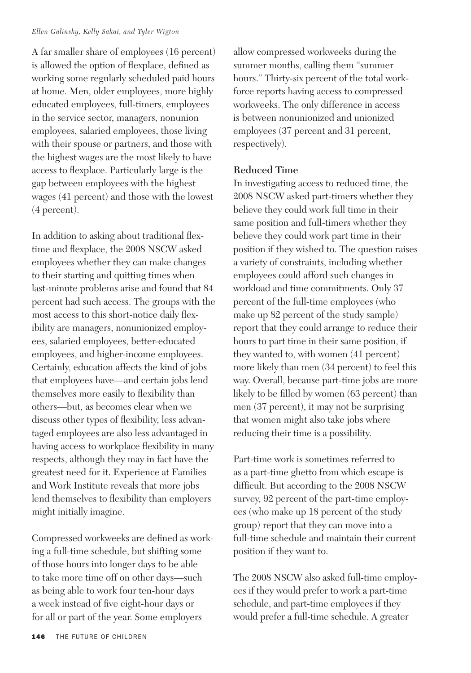#### *Ellen Galinsky, Kelly Sakai, and Tyler Wigton*

A far smaller share of employees (16 percent) is allowed the option of flexplace, defined as working some regularly scheduled paid hours at home. Men, older employees, more highly educated employees, full-timers, employees in the service sector, managers, nonunion employees, salaried employees, those living with their spouse or partners, and those with the highest wages are the most likely to have access to flexplace. Particularly large is the gap between employees with the highest wages (41 percent) and those with the lowest (4 percent).

In addition to asking about traditional flextime and flexplace, the 2008 NSCW asked employees whether they can make changes to their starting and quitting times when last-minute problems arise and found that 84 percent had such access. The groups with the most access to this short-notice daily flexibility are managers, nonunionized employees, salaried employees, better-educated employees, and higher-income employees. Certainly, education affects the kind of jobs that employees have—and certain jobs lend themselves more easily to flexibility than others—but, as becomes clear when we discuss other types of flexibility, less advantaged employees are also less advantaged in having access to workplace flexibility in many respects, although they may in fact have the greatest need for it. Experience at Families and Work Institute reveals that more jobs lend themselves to flexibility than employers might initially imagine.

Compressed workweeks are defined as working a full-time schedule, but shifting some of those hours into longer days to be able to take more time off on other days—such as being able to work four ten-hour days a week instead of five eight-hour days or for all or part of the year. Some employers

allow compressed workweeks during the summer months, calling them "summer hours." Thirty-six percent of the total workforce reports having access to compressed workweeks. The only difference in access is between nonunionized and unionized employees (37 percent and 31 percent, respectively).

#### **Reduced Time**

In investigating access to reduced time, the 2008 NSCW asked part-timers whether they believe they could work full time in their same position and full-timers whether they believe they could work part time in their position if they wished to. The question raises a variety of constraints, including whether employees could afford such changes in workload and time commitments. Only 37 percent of the full-time employees (who make up 82 percent of the study sample) report that they could arrange to reduce their hours to part time in their same position, if they wanted to, with women (41 percent) more likely than men (34 percent) to feel this way. Overall, because part-time jobs are more likely to be filled by women (63 percent) than men (37 percent), it may not be surprising that women might also take jobs where reducing their time is a possibility.

Part-time work is sometimes referred to as a part-time ghetto from which escape is difficult. But according to the 2008 NSCW survey, 92 percent of the part-time employees (who make up 18 percent of the study group) report that they can move into a full-time schedule and maintain their current position if they want to.

The 2008 NSCW also asked full-time employees if they would prefer to work a part-time schedule, and part-time employees if they would prefer a full-time schedule. A greater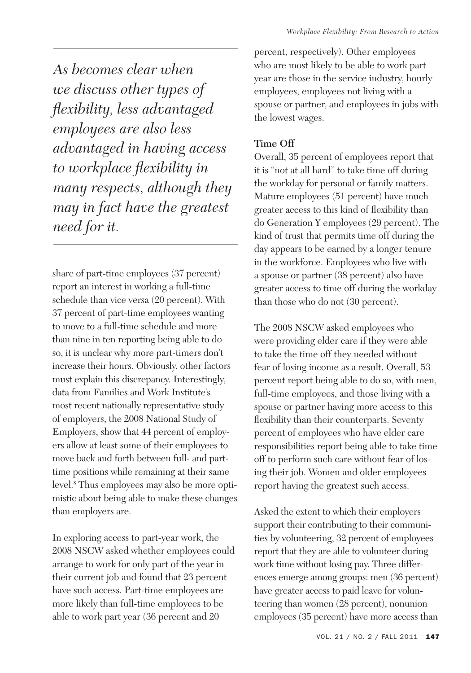*As becomes clear when we discuss other types of flexibility, less advantaged employees are also less advantaged in having access to workplace flexibility in many respects, although they may in fact have the greatest need for it.*

share of part-time employees (37 percent) report an interest in working a full-time schedule than vice versa (20 percent). With 37 percent of part-time employees wanting to move to a full-time schedule and more than nine in ten reporting being able to do so, it is unclear why more part-timers don't increase their hours. Obviously, other factors must explain this discrepancy. Interestingly, data from Families and Work Institute's most recent nationally representative study of employers, the 2008 National Study of Employers, show that 44 percent of employers allow at least some of their employees to move back and forth between full- and parttime positions while remaining at their same level.8 Thus employees may also be more optimistic about being able to make these changes than employers are.

In exploring access to part-year work, the 2008 NSCW asked whether employees could arrange to work for only part of the year in their current job and found that 23 percent have such access. Part-time employees are more likely than full-time employees to be able to work part year (36 percent and 20

percent, respectively). Other employees who are most likely to be able to work part year are those in the service industry, hourly employees, employees not living with a spouse or partner, and employees in jobs with the lowest wages.

#### **Time Off**

Overall, 35 percent of employees report that it is "not at all hard" to take time off during the workday for personal or family matters. Mature employees (51 percent) have much greater access to this kind of flexibility than do Generation Y employees (29 percent). The kind of trust that permits time off during the day appears to be earned by a longer tenure in the workforce. Employees who live with a spouse or partner (38 percent) also have greater access to time off during the workday than those who do not (30 percent).

The 2008 NSCW asked employees who were providing elder care if they were able to take the time off they needed without fear of losing income as a result. Overall, 53 percent report being able to do so, with men, full-time employees, and those living with a spouse or partner having more access to this flexibility than their counterparts. Seventy percent of employees who have elder care responsibilities report being able to take time off to perform such care without fear of losing their job. Women and older employees report having the greatest such access.

Asked the extent to which their employers support their contributing to their communities by volunteering, 32 percent of employees report that they are able to volunteer during work time without losing pay. Three differences emerge among groups: men (36 percent) have greater access to paid leave for volunteering than women (28 percent), nonunion employees (35 percent) have more access than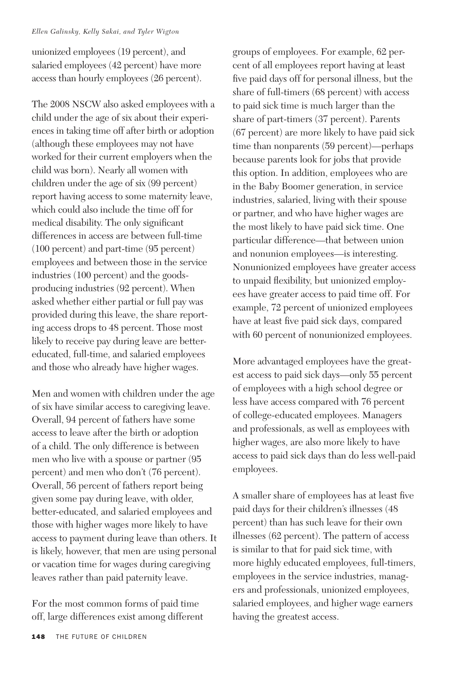unionized employees (19 percent), and salaried employees (42 percent) have more access than hourly employees (26 percent).

The 2008 NSCW also asked employees with a child under the age of six about their experiences in taking time off after birth or adoption (although these employees may not have worked for their current employers when the child was born). Nearly all women with children under the age of six (99 percent) report having access to some maternity leave, which could also include the time off for medical disability. The only significant differences in access are between full-time (100 percent) and part-time (95 percent) employees and between those in the service industries (100 percent) and the goodsproducing industries (92 percent). When asked whether either partial or full pay was provided during this leave, the share reporting access drops to 48 percent. Those most likely to receive pay during leave are bettereducated, full-time, and salaried employees and those who already have higher wages.

Men and women with children under the age of six have similar access to caregiving leave. Overall, 94 percent of fathers have some access to leave after the birth or adoption of a child. The only difference is between men who live with a spouse or partner (95 percent) and men who don't (76 percent). Overall, 56 percent of fathers report being given some pay during leave, with older, better-educated, and salaried employees and those with higher wages more likely to have access to payment during leave than others. It is likely, however, that men are using personal or vacation time for wages during caregiving leaves rather than paid paternity leave.

For the most common forms of paid time off, large differences exist among different groups of employees. For example, 62 percent of all employees report having at least five paid days off for personal illness, but the share of full-timers (68 percent) with access to paid sick time is much larger than the share of part-timers (37 percent). Parents (67 percent) are more likely to have paid sick time than nonparents (59 percent)—perhaps because parents look for jobs that provide this option. In addition, employees who are in the Baby Boomer generation, in service industries, salaried, living with their spouse or partner, and who have higher wages are the most likely to have paid sick time. One particular difference—that between union and nonunion employees—is interesting. Nonunionized employees have greater access to unpaid flexibility, but unionized employees have greater access to paid time off. For example, 72 percent of unionized employees have at least five paid sick days, compared with 60 percent of nonunionized employees.

More advantaged employees have the greatest access to paid sick days—only 55 percent of employees with a high school degree or less have access compared with 76 percent of college-educated employees. Managers and professionals, as well as employees with higher wages, are also more likely to have access to paid sick days than do less well-paid employees.

A smaller share of employees has at least five paid days for their children's illnesses (48 percent) than has such leave for their own illnesses (62 percent). The pattern of access is similar to that for paid sick time, with more highly educated employees, full-timers, employees in the service industries, managers and professionals, unionized employees, salaried employees, and higher wage earners having the greatest access.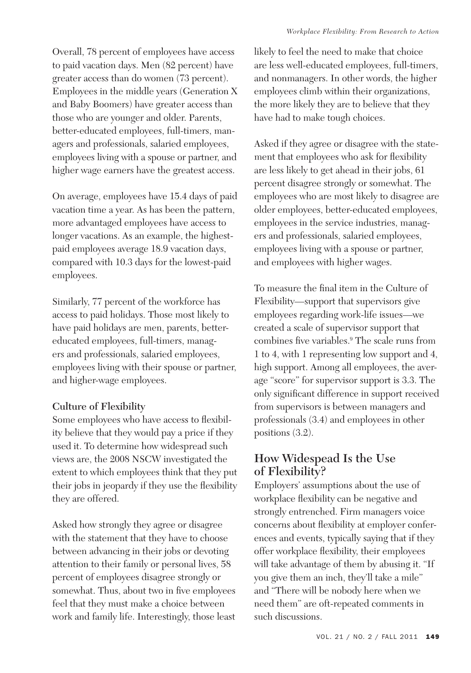Overall, 78 percent of employees have access to paid vacation days. Men (82 percent) have greater access than do women (73 percent). Employees in the middle years (Generation X and Baby Boomers) have greater access than those who are younger and older. Parents, better-educated employees, full-timers, managers and professionals, salaried employees, employees living with a spouse or partner, and higher wage earners have the greatest access.

On average, employees have 15.4 days of paid vacation time a year. As has been the pattern, more advantaged employees have access to longer vacations. As an example, the highestpaid employees average 18.9 vacation days, compared with 10.3 days for the lowest-paid employees.

Similarly, 77 percent of the workforce has access to paid holidays. Those most likely to have paid holidays are men, parents, bettereducated employees, full-timers, managers and professionals, salaried employees, employees living with their spouse or partner, and higher-wage employees.

#### **Culture of Flexibility**

Some employees who have access to flexibility believe that they would pay a price if they used it. To determine how widespread such views are, the 2008 NSCW investigated the extent to which employees think that they put their jobs in jeopardy if they use the flexibility they are offered.

Asked how strongly they agree or disagree with the statement that they have to choose between advancing in their jobs or devoting attention to their family or personal lives, 58 percent of employees disagree strongly or somewhat. Thus, about two in five employees feel that they must make a choice between work and family life. Interestingly, those least

likely to feel the need to make that choice are less well-educated employees, full-timers, and nonmanagers. In other words, the higher employees climb within their organizations, the more likely they are to believe that they have had to make tough choices.

Asked if they agree or disagree with the statement that employees who ask for flexibility are less likely to get ahead in their jobs, 61 percent disagree strongly or somewhat. The employees who are most likely to disagree are older employees, better-educated employees, employees in the service industries, managers and professionals, salaried employees, employees living with a spouse or partner, and employees with higher wages.

To measure the final item in the Culture of Flexibility—support that supervisors give employees regarding work-life issues—we created a scale of supervisor support that combines five variables.9 The scale runs from 1 to 4, with 1 representing low support and 4, high support. Among all employees, the average "score" for supervisor support is 3.3. The only significant difference in support received from supervisors is between managers and professionals (3.4) and employees in other positions (3.2).

## **How Widespead Is the Use of Flexibility?**

Employers' assumptions about the use of workplace flexibility can be negative and strongly entrenched. Firm managers voice concerns about flexibility at employer conferences and events, typically saying that if they offer workplace flexibility, their employees will take advantage of them by abusing it. "If you give them an inch, they'll take a mile" and "There will be nobody here when we need them" are oft-repeated comments in such discussions.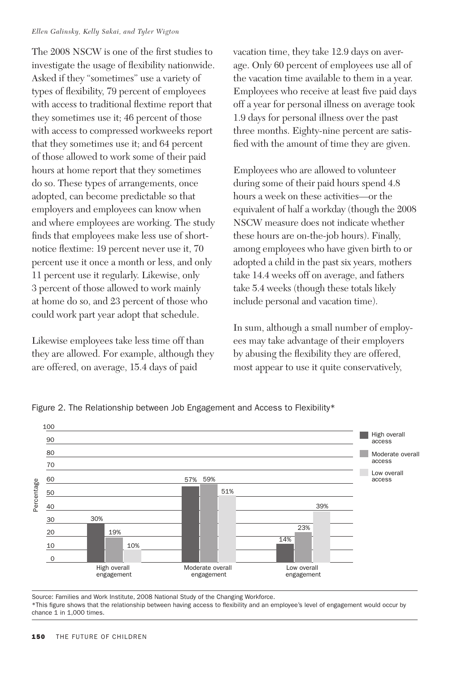The 2008 NSCW is one of the first studies to investigate the usage of flexibility nationwide. Asked if they "sometimes" use a variety of types of flexibility, 79 percent of employees with access to traditional flextime report that they sometimes use it; 46 percent of those with access to compressed workweeks report that they sometimes use it; and 64 percent of those allowed to work some of their paid hours at home report that they sometimes do so. These types of arrangements, once adopted, can become predictable so that employers and employees can know when and where employees are working. The study finds that employees make less use of shortnotice flextime: 19 percent never use it, 70 percent use it once a month or less, and only 11 percent use it regularly. Likewise, only 3 percent of those allowed to work mainly at home do so, and 23 percent of those who could work part year adopt that schedule.

Likewise employees take less time off than they are allowed. For example, although they are offered, on average, 15.4 days of paid

vacation time, they take 12.9 days on average. Only 60 percent of employees use all of the vacation time available to them in a year. Employees who receive at least five paid days off a year for personal illness on average took 1.9 days for personal illness over the past three months. Eighty-nine percent are satisfied with the amount of time they are given.

Employees who are allowed to volunteer during some of their paid hours spend 4.8 hours a week on these activities—or the equivalent of half a workday (though the 2008 NSCW measure does not indicate whether these hours are on-the-job hours). Finally, among employees who have given birth to or adopted a child in the past six years, mothers take 14.4 weeks off on average, and fathers take 5.4 weeks (though these totals likely include personal and vacation time).

In sum, although a small number of employees may take advantage of their employers by abusing the flexibility they are offered, most appear to use it quite conservatively,



Figure 2. The Relationship between Job Engagement and Access to Flexibility\*

Source: Families and Work Institute, 2008 National Study of the Changing Workforce.

\*This figure shows that the relationship between having access to flexibility and an employee's level of engagement would occur by chance 1 in 1,000 times.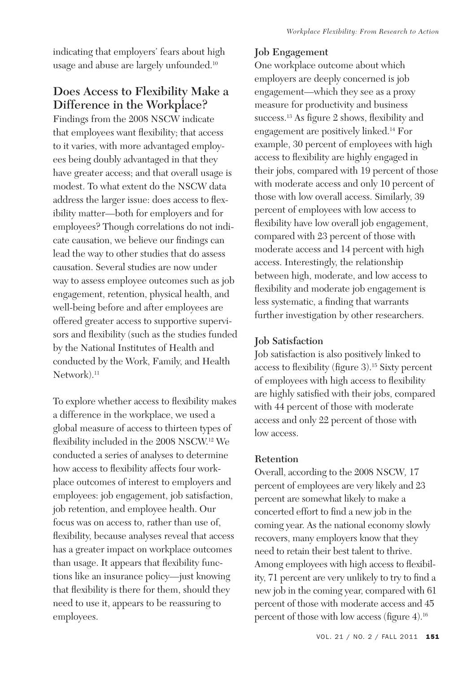indicating that employers' fears about high usage and abuse are largely unfounded.10

## **Does Access to Flexibility Make a Difference in the Workplace?**

Findings from the 2008 NSCW indicate that employees want flexibility; that access to it varies, with more advantaged employees being doubly advantaged in that they have greater access; and that overall usage is modest. To what extent do the NSCW data address the larger issue: does access to flexibility matter—both for employers and for employees? Though correlations do not indicate causation, we believe our findings can lead the way to other studies that do assess causation. Several studies are now under way to assess employee outcomes such as job engagement, retention, physical health, and well-being before and after employees are offered greater access to supportive supervisors and flexibility (such as the studies funded by the National Institutes of Health and conducted by the Work, Family, and Health Network).<sup>11</sup>

To explore whether access to flexibility makes a difference in the workplace, we used a global measure of access to thirteen types of flexibility included in the 2008 NSCW.12 We conducted a series of analyses to determine how access to flexibility affects four workplace outcomes of interest to employers and employees: job engagement, job satisfaction, job retention, and employee health. Our focus was on access to, rather than use of, flexibility, because analyses reveal that access has a greater impact on workplace outcomes than usage. It appears that flexibility functions like an insurance policy—just knowing that flexibility is there for them, should they need to use it, appears to be reassuring to employees.

#### **Job Engagement**

One workplace outcome about which employers are deeply concerned is job engagement—which they see as a proxy measure for productivity and business success.13 As figure 2 shows, flexibility and engagement are positively linked.14 For example, 30 percent of employees with high access to flexibility are highly engaged in their jobs, compared with 19 percent of those with moderate access and only 10 percent of those with low overall access. Similarly, 39 percent of employees with low access to flexibility have low overall job engagement, compared with 23 percent of those with moderate access and 14 percent with high access. Interestingly, the relationship between high, moderate, and low access to flexibility and moderate job engagement is less systematic, a finding that warrants further investigation by other researchers.

#### **Job Satisfaction**

Job satisfaction is also positively linked to access to flexibility (figure 3).15 Sixty percent of employees with high access to flexibility are highly satisfied with their jobs, compared with 44 percent of those with moderate access and only 22 percent of those with low access.

#### **Retention**

Overall, according to the 2008 NSCW*,* 17 percent of employees are very likely and 23 percent are somewhat likely to make a concerted effort to find a new job in the coming year. As the national economy slowly recovers, many employers know that they need to retain their best talent to thrive. Among employees with high access to flexibility, 71 percent are very unlikely to try to find a new job in the coming year, compared with 61 percent of those with moderate access and 45 percent of those with low access (figure 4).16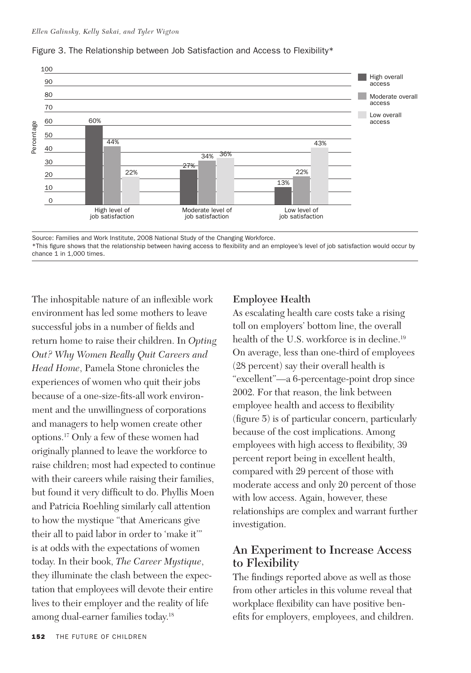

#### Figure 3. The Relationship between Job Satisfaction and Access to Flexibility\*

Source: Families and Work Institute, 2008 National Study of the Changing Workforce. \*This figure shows that the relationship between having access to flexibility and an employee's level of job satisfaction would occur by chance 1 in 1,000 times.

The inhospitable nature of an inflexible work environment has led some mothers to leave successful jobs in a number of fields and return home to raise their children. In *Opting Out? Why Women Really Quit Careers and Head Home*, Pamela Stone chronicles the experiences of women who quit their jobs because of a one-size-fits-all work environment and the unwillingness of corporations and managers to help women create other options.17 Only a few of these women had originally planned to leave the workforce to raise children; most had expected to continue with their careers while raising their families, but found it very difficult to do. Phyllis Moen and Patricia Roehling similarly call attention to how the mystique "that Americans give their all to paid labor in order to 'make it'" is at odds with the expectations of women today. In their book, *The Career Mystique*, they illuminate the clash between the expectation that employees will devote their entire lives to their employer and the reality of life among dual-earner families today.18

#### **Employee Health**

As escalating health care costs take a rising toll on employers' bottom line, the overall health of the U.S. workforce is in decline.<sup>19</sup> On average, less than one-third of employees (28 percent) say their overall health is "excellent"—a 6-percentage-point drop since 2002. For that reason, the link between employee health and access to flexibility (figure 5) is of particular concern, particularly because of the cost implications. Among employees with high access to flexibility, 39 percent report being in excellent health, compared with 29 percent of those with moderate access and only 20 percent of those with low access. Again, however, these relationships are complex and warrant further investigation.

## **An Experiment to Increase Access to Flexibility**

The findings reported above as well as those from other articles in this volume reveal that workplace flexibility can have positive benefits for employers, employees, and children.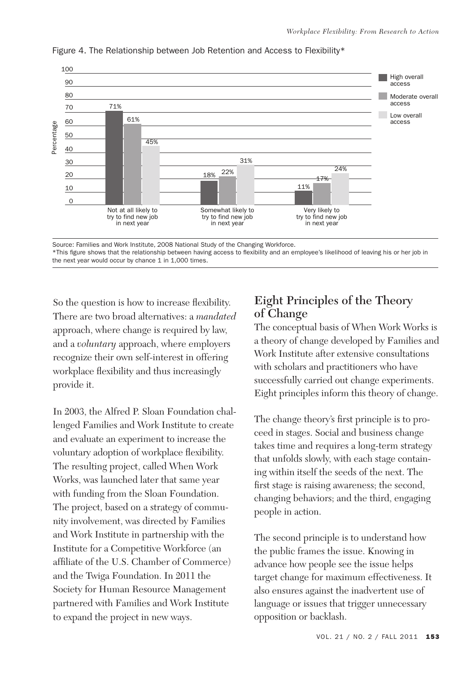

Figure 4. The Relationship between Job Retention and Access to Flexibility\*

Source: Families and Work Institute, 2008 National Study of the Changing Workforce. \*This figure shows that the relationship between having access to flexibility and an employee's likelihood of leaving his or her job in the next year would occur by chance 1 in 1,000 times.

So the question is how to increase flexibility. There are two broad alternatives: a *mandated* approach, where change is required by law, and a *voluntary* approach, where employers recognize their own self-interest in offering workplace flexibility and thus increasingly provide it.

In 2003, the Alfred P. Sloan Foundation challenged Families and Work Institute to create and evaluate an experiment to increase the voluntary adoption of workplace flexibility. The resulting project, called When Work Works, was launched later that same year with funding from the Sloan Foundation. The project, based on a strategy of community involvement, was directed by Families and Work Institute in partnership with the Institute for a Competitive Workforce (an affiliate of the U.S. Chamber of Commerce) and the Twiga Foundation. In 2011 the Society for Human Resource Management partnered with Families and Work Institute to expand the project in new ways.

## **Eight Principles of the Theory of Change**

The conceptual basis of When Work Works is a theory of change developed by Families and Work Institute after extensive consultations with scholars and practitioners who have successfully carried out change experiments. Eight principles inform this theory of change.

The change theory's first principle is to proceed in stages. Social and business change takes time and requires a long-term strategy that unfolds slowly, with each stage containing within itself the seeds of the next. The first stage is raising awareness; the second, changing behaviors; and the third, engaging people in action.

The second principle is to understand how the public frames the issue. Knowing in advance how people see the issue helps target change for maximum effectiveness. It also ensures against the inadvertent use of language or issues that trigger unnecessary opposition or backlash.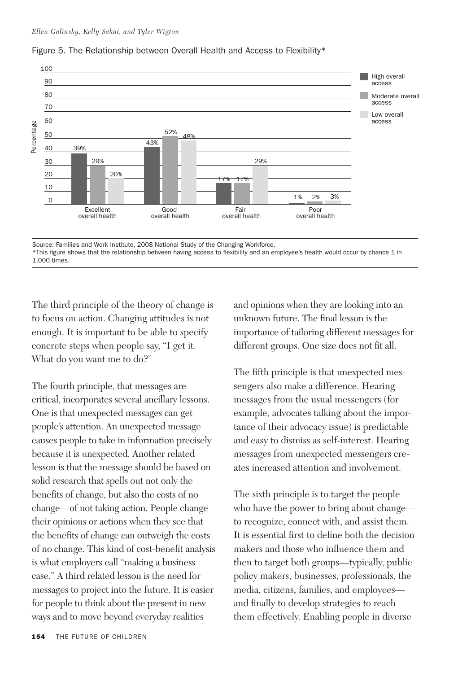

#### Figure 5. The Relationship between Overall Health and Access to Flexibility\*

Source: Families and Work Institute, 2008 National Study of the Changing Workforce. \*This figure shows that the relationship between having access to flexibility and an employee's health would occur by chance 1 in 1,000 times.

The third principle of the theory of change is to focus on action. Changing attitudes is not enough. It is important to be able to specify concrete steps when people say, "I get it. What do you want me to do?"

The fourth principle, that messages are critical, incorporates several ancillary lessons. One is that unexpected messages can get people's attention. An unexpected message causes people to take in information precisely because it is unexpected. Another related lesson is that the message should be based on solid research that spells out not only the benefits of change, but also the costs of no change—of not taking action. People change their opinions or actions when they see that the benefits of change can outweigh the costs of no change. This kind of cost-benefit analysis is what employers call "making a business case." A third related lesson is the need for messages to project into the future. It is easier for people to think about the present in new ways and to move beyond everyday realities

and opinions when they are looking into an unknown future. The final lesson is the importance of tailoring different messages for different groups. One size does not fit all.

The fifth principle is that unexpected messengers also make a difference. Hearing messages from the usual messengers (for example, advocates talking about the importance of their advocacy issue) is predictable and easy to dismiss as self-interest. Hearing messages from unexpected messengers creates increased attention and involvement.

The sixth principle is to target the people who have the power to bring about change to recognize, connect with, and assist them. It is essential first to define both the decision makers and those who influence them and then to target both groups—typically, public policy makers, businesses, professionals, the media, citizens, families, and employees and finally to develop strategies to reach them effectively. Enabling people in diverse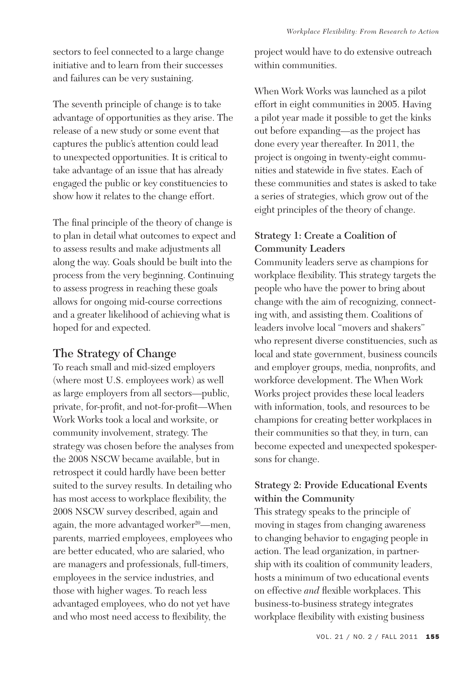sectors to feel connected to a large change initiative and to learn from their successes and failures can be very sustaining.

The seventh principle of change is to take advantage of opportunities as they arise. The release of a new study or some event that captures the public's attention could lead to unexpected opportunities. It is critical to take advantage of an issue that has already engaged the public or key constituencies to show how it relates to the change effort.

The final principle of the theory of change is to plan in detail what outcomes to expect and to assess results and make adjustments all along the way. Goals should be built into the process from the very beginning. Continuing to assess progress in reaching these goals allows for ongoing mid-course corrections and a greater likelihood of achieving what is hoped for and expected.

## **The Strategy of Change**

To reach small and mid-sized employers (where most U.S. employees work) as well as large employers from all sectors—public, private, for-profit, and not-for-profit—When Work Works took a local and worksite, or community involvement, strategy. The strategy was chosen before the analyses from the 2008 NSCW became available, but in retrospect it could hardly have been better suited to the survey results. In detailing who has most access to workplace flexibility, the 2008 NSCW survey described, again and again, the more advantaged worker<sup>20</sup>-men, parents, married employees, employees who are better educated, who are salaried, who are managers and professionals, full-timers, employees in the service industries, and those with higher wages. To reach less advantaged employees, who do not yet have and who most need access to flexibility, the

project would have to do extensive outreach within communities.

When Work Works was launched as a pilot effort in eight communities in 2005. Having a pilot year made it possible to get the kinks out before expanding—as the project has done every year thereafter. In 2011, the project is ongoing in twenty-eight communities and statewide in five states. Each of these communities and states is asked to take a series of strategies, which grow out of the eight principles of the theory of change.

#### **Strategy 1: Create a Coalition of Community Leaders**

Community leaders serve as champions for workplace flexibility. This strategy targets the people who have the power to bring about change with the aim of recognizing, connecting with, and assisting them. Coalitions of leaders involve local "movers and shakers" who represent diverse constituencies, such as local and state government, business councils and employer groups, media, nonprofits, and workforce development. The When Work Works project provides these local leaders with information, tools, and resources to be champions for creating better workplaces in their communities so that they, in turn, can become expected and unexpected spokespersons for change.

#### **Strategy 2: Provide Educational Events within the Community**

This strategy speaks to the principle of moving in stages from changing awareness to changing behavior to engaging people in action. The lead organization, in partnership with its coalition of community leaders, hosts a minimum of two educational events on effective *and* flexible workplaces. This business-to-business strategy integrates workplace flexibility with existing business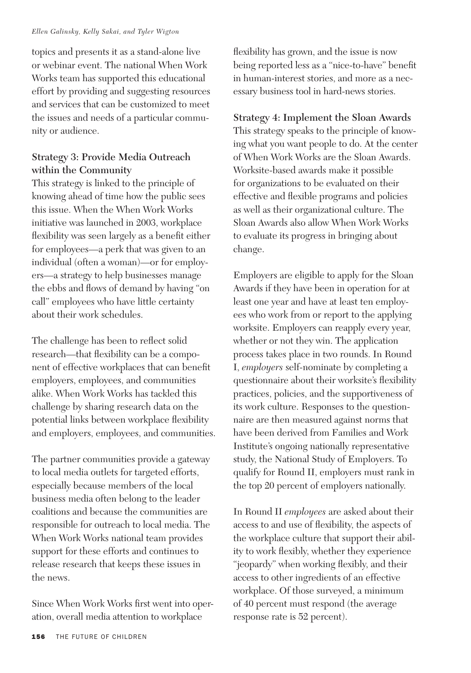#### *Ellen Galinsky, Kelly Sakai, and Tyler Wigton*

topics and presents it as a stand-alone live or webinar event. The national When Work Works team has supported this educational effort by providing and suggesting resources and services that can be customized to meet the issues and needs of a particular community or audience.

#### **Strategy 3: Provide Media Outreach within the Community**

This strategy is linked to the principle of knowing ahead of time how the public sees this issue. When the When Work Works initiative was launched in 2003, workplace flexibility was seen largely as a benefit either for employees—a perk that was given to an individual (often a woman)—or for employers—a strategy to help businesses manage the ebbs and flows of demand by having "on call" employees who have little certainty about their work schedules.

The challenge has been to reflect solid research—that flexibility can be a component of effective workplaces that can benefit employers, employees, and communities alike. When Work Works has tackled this challenge by sharing research data on the potential links between workplace flexibility and employers, employees, and communities.

The partner communities provide a gateway to local media outlets for targeted efforts, especially because members of the local business media often belong to the leader coalitions and because the communities are responsible for outreach to local media. The When Work Works national team provides support for these efforts and continues to release research that keeps these issues in the news.

Since When Work Works first went into operation, overall media attention to workplace

flexibility has grown, and the issue is now being reported less as a "nice-to-have" benefit in human-interest stories, and more as a necessary business tool in hard-news stories.

**Strategy 4: Implement the Sloan Awards**  This strategy speaks to the principle of knowing what you want people to do. At the center of When Work Works are the Sloan Awards. Worksite-based awards make it possible for organizations to be evaluated on their effective and flexible programs and policies as well as their organizational culture. The Sloan Awards also allow When Work Works to evaluate its progress in bringing about change.

Employers are eligible to apply for the Sloan Awards if they have been in operation for at least one year and have at least ten employees who work from or report to the applying worksite. Employers can reapply every year, whether or not they win. The application process takes place in two rounds. In Round I, *employers* self-nominate by completing a questionnaire about their worksite's flexibility practices, policies, and the supportiveness of its work culture. Responses to the questionnaire are then measured against norms that have been derived from Families and Work Institute's ongoing nationally representative study, the National Study of Employers. To qualify for Round II, employers must rank in the top 20 percent of employers nationally.

In Round II *employees* are asked about their access to and use of flexibility, the aspects of the workplace culture that support their ability to work flexibly, whether they experience "jeopardy" when working flexibly, and their access to other ingredients of an effective workplace. Of those surveyed, a minimum of 40 percent must respond (the average response rate is 52 percent).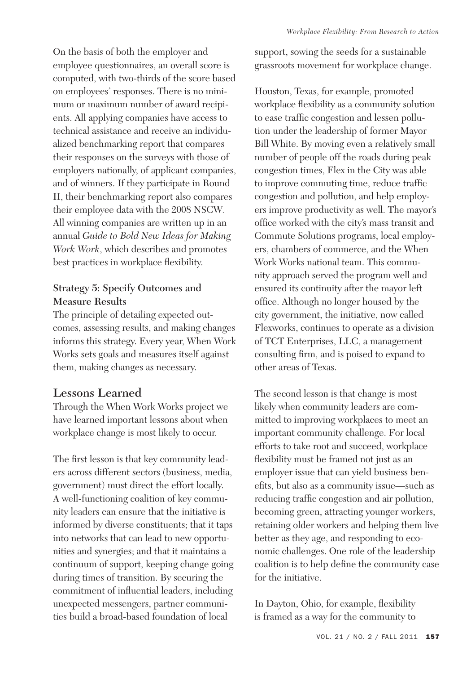On the basis of both the employer and employee questionnaires, an overall score is computed, with two-thirds of the score based on employees' responses. There is no minimum or maximum number of award recipients. All applying companies have access to technical assistance and receive an individualized benchmarking report that compares their responses on the surveys with those of employers nationally, of applicant companies, and of winners. If they participate in Round II, their benchmarking report also compares their employee data with the 2008 NSCW*.* All winning companies are written up in an annual *Guide to Bold New Ideas for Making Work Work*, which describes and promotes best practices in workplace flexibility.

#### **Strategy 5: Specify Outcomes and Measure Results**

The principle of detailing expected outcomes, assessing results, and making changes informs this strategy. Every year, When Work Works sets goals and measures itself against them, making changes as necessary.

#### **Lessons Learned**

Through the When Work Works project we have learned important lessons about when workplace change is most likely to occur.

The first lesson is that key community leaders across different sectors (business, media, government) must direct the effort locally. A well-functioning coalition of key community leaders can ensure that the initiative is informed by diverse constituents; that it taps into networks that can lead to new opportunities and synergies; and that it maintains a continuum of support, keeping change going during times of transition. By securing the commitment of influential leaders, including unexpected messengers, partner communities build a broad-based foundation of local

support, sowing the seeds for a sustainable grassroots movement for workplace change.

Houston, Texas, for example, promoted workplace flexibility as a community solution to ease traffic congestion and lessen pollution under the leadership of former Mayor Bill White. By moving even a relatively small number of people off the roads during peak congestion times, Flex in the City was able to improve commuting time, reduce traffic congestion and pollution, and help employers improve productivity as well. The mayor's office worked with the city's mass transit and Commute Solutions programs, local employers, chambers of commerce, and the When Work Works national team. This community approach served the program well and ensured its continuity after the mayor left office. Although no longer housed by the city government, the initiative, now called Flexworks, continues to operate as a division of TCT Enterprises, LLC, a management consulting firm, and is poised to expand to other areas of Texas.

The second lesson is that change is most likely when community leaders are committed to improving workplaces to meet an important community challenge. For local efforts to take root and succeed, workplace flexibility must be framed not just as an employer issue that can yield business benefits, but also as a community issue—such as reducing traffic congestion and air pollution, becoming green, attracting younger workers, retaining older workers and helping them live better as they age, and responding to economic challenges. One role of the leadership coalition is to help define the community case for the initiative.

In Dayton, Ohio, for example, flexibility is framed as a way for the community to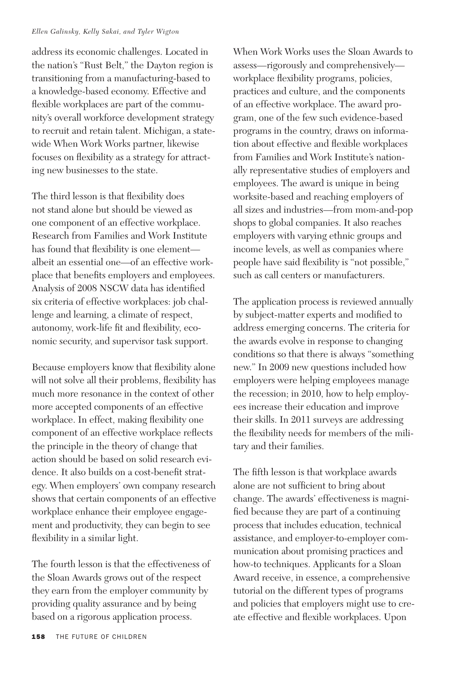#### *Ellen Galinsky, Kelly Sakai, and Tyler Wigton*

address its economic challenges. Located in the nation's "Rust Belt," the Dayton region is transitioning from a manufacturing-based to a knowledge-based economy. Effective and flexible workplaces are part of the community's overall workforce development strategy to recruit and retain talent. Michigan, a statewide When Work Works partner, likewise focuses on flexibility as a strategy for attracting new businesses to the state.

The third lesson is that flexibility does not stand alone but should be viewed as one component of an effective workplace. Research from Families and Work Institute has found that flexibility is one element albeit an essential one—of an effective workplace that benefits employers and employees. Analysis of 2008 NSCW data has identified six criteria of effective workplaces: job challenge and learning, a climate of respect, autonomy, work-life fit and flexibility, economic security, and supervisor task support.

Because employers know that flexibility alone will not solve all their problems, flexibility has much more resonance in the context of other more accepted components of an effective workplace. In effect, making flexibility one component of an effective workplace reflects the principle in the theory of change that action should be based on solid research evidence. It also builds on a cost-benefit strategy. When employers' own company research shows that certain components of an effective workplace enhance their employee engagement and productivity, they can begin to see flexibility in a similar light.

The fourth lesson is that the effectiveness of the Sloan Awards grows out of the respect they earn from the employer community by providing quality assurance and by being based on a rigorous application process.

When Work Works uses the Sloan Awards to assess—rigorously and comprehensively workplace flexibility programs, policies, practices and culture, and the components of an effective workplace. The award program, one of the few such evidence-based programs in the country, draws on information about effective and flexible workplaces from Families and Work Institute's nationally representative studies of employers and employees. The award is unique in being worksite-based and reaching employers of all sizes and industries—from mom-and-pop shops to global companies. It also reaches employers with varying ethnic groups and income levels, as well as companies where people have said flexibility is "not possible," such as call centers or manufacturers.

The application process is reviewed annually by subject-matter experts and modified to address emerging concerns. The criteria for the awards evolve in response to changing conditions so that there is always "something new." In 2009 new questions included how employers were helping employees manage the recession; in 2010, how to help employees increase their education and improve their skills. In 2011 surveys are addressing the flexibility needs for members of the military and their families.

The fifth lesson is that workplace awards alone are not sufficient to bring about change. The awards' effectiveness is magnified because they are part of a continuing process that includes education, technical assistance, and employer-to-employer communication about promising practices and how-to techniques. Applicants for a Sloan Award receive, in essence, a comprehensive tutorial on the different types of programs and policies that employers might use to create effective and flexible workplaces. Upon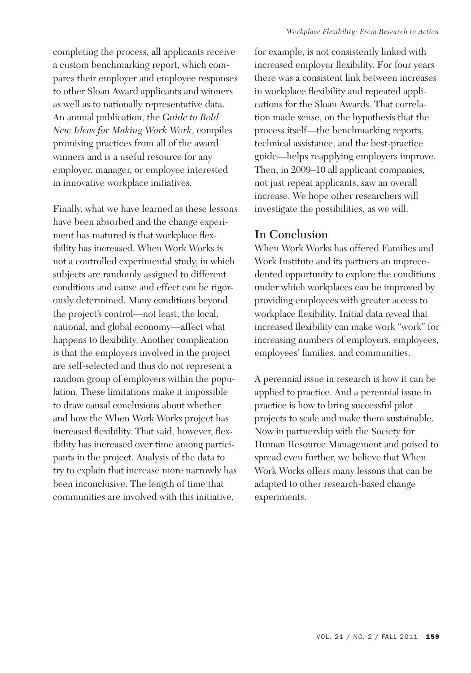completing the process, all applicants receive a custom benchmarking report, which compares their employer and employee responses to other Sloan Award applicants and winners as well as to nationally representative data. An annual publication, the *Guide to Bold New Ideas for Making Work Work*, compiles promising practices from all of the award winners and is a useful resource for any employer, manager, or employee interested in innovative workplace initiatives.

Finally, what we have learned as these lessons have been absorbed and the change experiment has matured is that workplace flexibility has increased. When Work Works is not a controlled experimental study, in which subjects are randomly assigned to different conditions and cause and effect can be rigorously determined. Many conditions beyond the project's control—not least, the local, national, and global economy—affect what happens to flexibility. Another complication is that the employers involved in the project are self-selected and thus do not represent a random group of employers within the population. These limitations make it impossible to draw causal conclusions about whether and how the When Work Works project has increased flexibility. That said, however, flexibility has increased over time among participants in the project. Analysis of the data to try to explain that increase more narrowly has been inconclusive. The length of time that communities are involved with this initiative,

for example, is not consistently linked with increased employer flexibility. For four years there was a consistent link between increases in workplace flexibility and repeated applications for the Sloan Awards. That correlation made sense, on the hypothesis that the process itself—the benchmarking reports, technical assistance, and the best-practice guide—helps reapplying employers improve. Then, in 2009–10 all applicant companies, not just repeat applicants, saw an overall increase. We hope other researchers will investigate the possibilities, as we will.

#### **In Conclusion**

When Work Works has offered Families and Work Institute and its partners an unprecedented opportunity to explore the conditions under which workplaces can be improved by providing employees with greater access to workplace flexibility. Initial data reveal that increased flexibility can make work "work" for increasing numbers of employers, employees, employees' families, and communities.

A perennial issue in research is how it can be applied to practice. And a perennial issue in practice is how to bring successful pilot projects to scale and make them sustainable. Now in partnership with the Society for Human Resource Management and poised to spread even further, we believe that When Work Works offers many lessons that can be adapted to other research-based change experiments.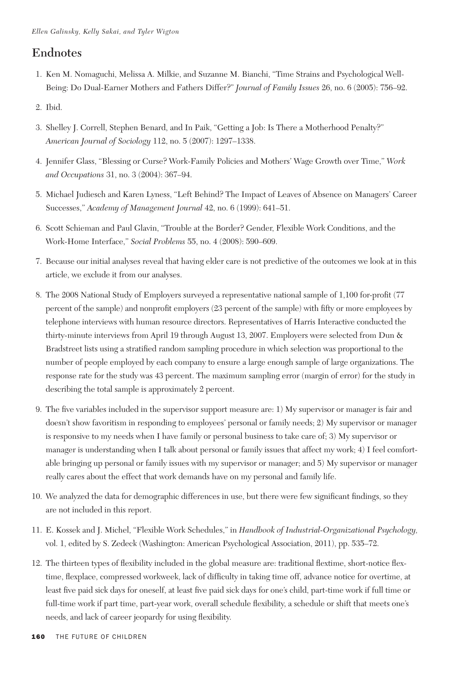#### **Endnotes**

- 1. Ken M. Nomaguchi, Melissa A. Milkie, and Suzanne M. Bianchi, "Time Strains and Psychological Well-Being: Do Dual-Earner Mothers and Fathers Differ?" *Journal of Family Issues* 26, no. 6 (2005): 756–92.
- 2. Ibid.
- 3. Shelley J. Correll, Stephen Benard, and In Paik, "Getting a Job: Is There a Motherhood Penalty?" *American Journal of Sociology* 112, no. 5 (2007): 1297–1338.
- 4. Jennifer Glass, "Blessing or Curse? Work-Family Policies and Mothers' Wage Growth over Time," *Work and Occupations* 31, no. 3 (2004): 367–94.
- 5. Michael Judiesch and Karen Lyness, "Left Behind? The Impact of Leaves of Absence on Managers' Career Successes," *Academy of Management Journal* 42, no. 6 (1999): 641–51.
- 6. Scott Schieman and Paul Glavin, "Trouble at the Border? Gender, Flexible Work Conditions, and the Work-Home Interface," *Social Problems* 55, no. 4 (2008): 590–609.
- 7. Because our initial analyses reveal that having elder care is not predictive of the outcomes we look at in this article, we exclude it from our analyses.
- 8. The 2008 National Study of Employers surveyed a representative national sample of 1,100 for-profit (77 percent of the sample) and nonprofit employers (23 percent of the sample) with fifty or more employees by telephone interviews with human resource directors. Representatives of Harris Interactive conducted the thirty-minute interviews from April 19 through August 13, 2007. Employers were selected from Dun & Bradstreet lists using a stratified random sampling procedure in which selection was proportional to the number of people employed by each company to ensure a large enough sample of large organizations. The response rate for the study was 43 percent. The maximum sampling error (margin of error) for the study in describing the total sample is approximately 2 percent.
- 9. The five variables included in the supervisor support measure are: 1) My supervisor or manager is fair and doesn't show favoritism in responding to employees' personal or family needs; 2) My supervisor or manager is responsive to my needs when I have family or personal business to take care of; 3) My supervisor or manager is understanding when I talk about personal or family issues that affect my work; 4) I feel comfortable bringing up personal or family issues with my supervisor or manager; and 5) My supervisor or manager really cares about the effect that work demands have on my personal and family life.
- 10. We analyzed the data for demographic differences in use, but there were few significant findings, so they are not included in this report.
- 11. E. Kossek and J. Michel, "Flexible Work Schedules," in *Handbook of Industrial-Organizational Psychology,*  vol. 1, edited by S. Zedeck (Washington: American Psychological Association, 2011), pp. 535–72.
- 12. The thirteen types of flexibility included in the global measure are: traditional flextime, short-notice flextime, flexplace, compressed workweek, lack of difficulty in taking time off, advance notice for overtime, at least five paid sick days for oneself, at least five paid sick days for one's child, part-time work if full time or full-time work if part time, part-year work, overall schedule flexibility, a schedule or shift that meets one's needs, and lack of career jeopardy for using flexibility.